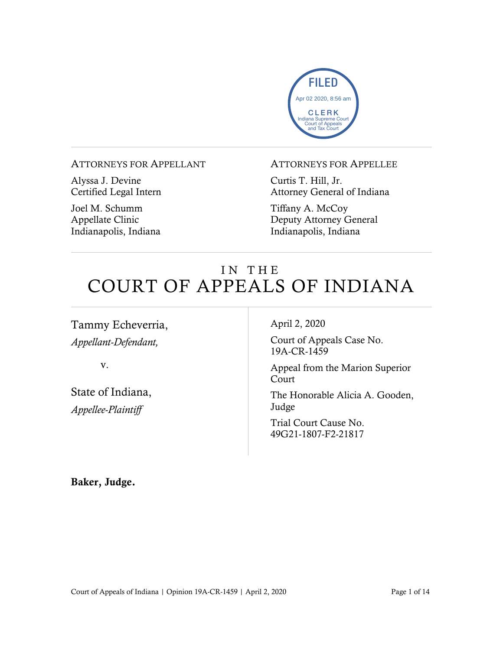

#### ATTORNEYS FOR APPELLANT

Alyssa J. Devine Certified Legal Intern

Joel M. Schumm Appellate Clinic Indianapolis, Indiana

#### ATTORNEYS FOR APPELLEE

Curtis T. Hill, Jr. Attorney General of Indiana

Tiffany A. McCoy Deputy Attorney General Indianapolis, Indiana

# IN THE COURT OF APPEALS OF INDIANA

Tammy Echeverria, *Appellant-Defendant,*

v.

State of Indiana, *Appellee-Plaintiff*

April 2, 2020

Court of Appeals Case No. 19A-CR-1459

Appeal from the Marion Superior Court

The Honorable Alicia A. Gooden, Judge

Trial Court Cause No. 49G21-1807-F2-21817

Baker, Judge.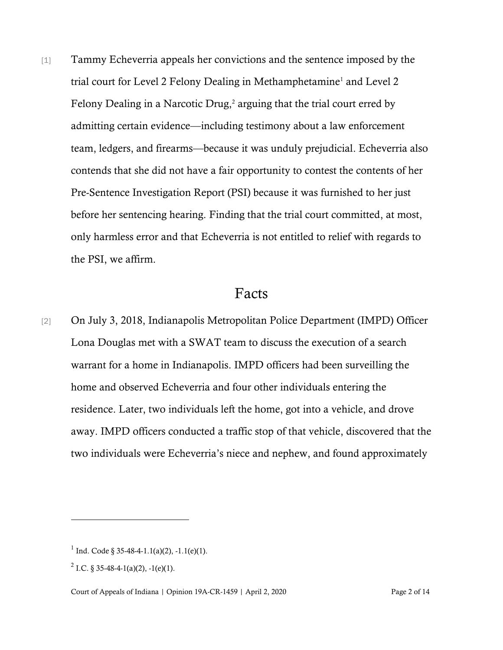[1] Tammy Echeverria appeals her convictions and the sentence imposed by the trial court for Level 2 Felony Dealing in Methamphetamine<sup>1</sup> and Level 2 Felony Dealing in a Narcotic Drug,<sup>2</sup> arguing that the trial court erred by admitting certain evidence—including testimony about a law enforcement team, ledgers, and firearms—because it was unduly prejudicial. Echeverria also contends that she did not have a fair opportunity to contest the contents of her Pre-Sentence Investigation Report (PSI) because it was furnished to her just before her sentencing hearing. Finding that the trial court committed, at most, only harmless error and that Echeverria is not entitled to relief with regards to the PSI, we affirm.

# Facts

[2] On July 3, 2018, Indianapolis Metropolitan Police Department (IMPD) Officer Lona Douglas met with a SWAT team to discuss the execution of a search warrant for a home in Indianapolis. IMPD officers had been surveilling the home and observed Echeverria and four other individuals entering the residence. Later, two individuals left the home, got into a vehicle, and drove away. IMPD officers conducted a traffic stop of that vehicle, discovered that the two individuals were Echeverria's niece and nephew, and found approximately

<sup>&</sup>lt;sup>1</sup> Ind. Code § 35-48-4-1.1(a)(2), -1.1(e)(1).

<sup>&</sup>lt;sup>2</sup> I.C. § 35-48-4-1(a)(2), -1(e)(1).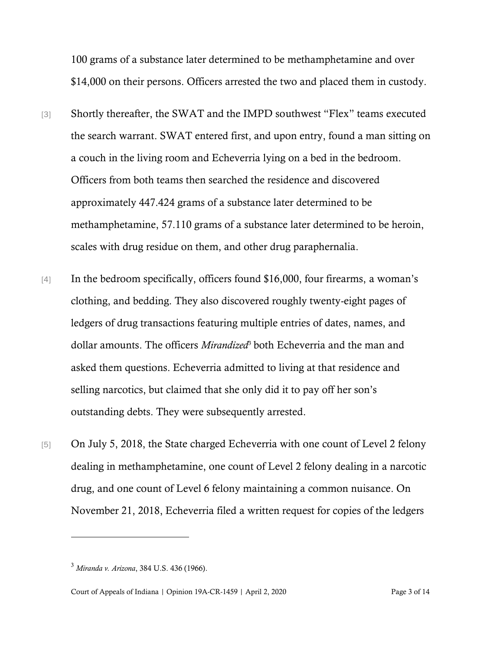100 grams of a substance later determined to be methamphetamine and over \$14,000 on their persons. Officers arrested the two and placed them in custody.

- [3] Shortly thereafter, the SWAT and the IMPD southwest "Flex" teams executed the search warrant. SWAT entered first, and upon entry, found a man sitting on a couch in the living room and Echeverria lying on a bed in the bedroom. Officers from both teams then searched the residence and discovered approximately 447.424 grams of a substance later determined to be methamphetamine, 57.110 grams of a substance later determined to be heroin, scales with drug residue on them, and other drug paraphernalia.
- [4] In the bedroom specifically, officers found \$16,000, four firearms, a woman's clothing, and bedding. They also discovered roughly twenty-eight pages of ledgers of drug transactions featuring multiple entries of dates, names, and dollar amounts. The officers *Mirandized*<sup>3</sup> both Echeverria and the man and asked them questions. Echeverria admitted to living at that residence and selling narcotics, but claimed that she only did it to pay off her son's outstanding debts. They were subsequently arrested.
- [5] On July 5, 2018, the State charged Echeverria with one count of Level 2 felony dealing in methamphetamine, one count of Level 2 felony dealing in a narcotic drug, and one count of Level 6 felony maintaining a common nuisance. On November 21, 2018, Echeverria filed a written request for copies of the ledgers

<sup>3</sup> *Miranda v. Arizona*, 384 U.S. 436 (1966).

Court of Appeals of Indiana | Opinion 19A-CR-1459 | April 2, 2020 Page 3 of 14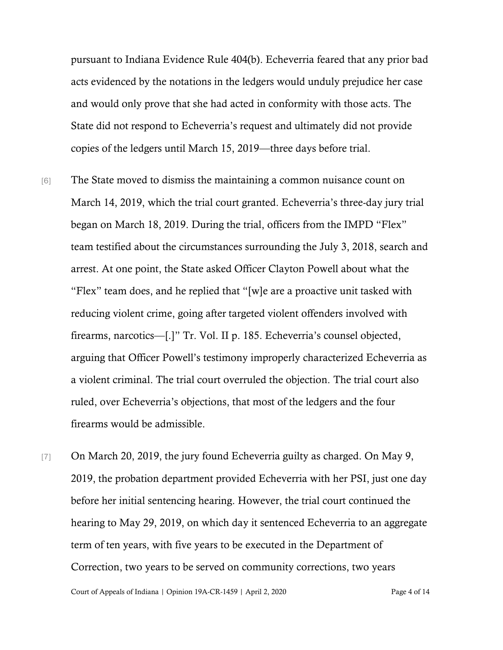pursuant to Indiana Evidence Rule 404(b). Echeverria feared that any prior bad acts evidenced by the notations in the ledgers would unduly prejudice her case and would only prove that she had acted in conformity with those acts. The State did not respond to Echeverria's request and ultimately did not provide copies of the ledgers until March 15, 2019—three days before trial.

- [6] The State moved to dismiss the maintaining a common nuisance count on March 14, 2019, which the trial court granted. Echeverria's three-day jury trial began on March 18, 2019. During the trial, officers from the IMPD "Flex" team testified about the circumstances surrounding the July 3, 2018, search and arrest. At one point, the State asked Officer Clayton Powell about what the "Flex" team does, and he replied that "[w]e are a proactive unit tasked with reducing violent crime, going after targeted violent offenders involved with firearms, narcotics—[.]" Tr. Vol. II p. 185. Echeverria's counsel objected, arguing that Officer Powell's testimony improperly characterized Echeverria as a violent criminal. The trial court overruled the objection. The trial court also ruled, over Echeverria's objections, that most of the ledgers and the four firearms would be admissible.
- [7] On March 20, 2019, the jury found Echeverria guilty as charged. On May 9, 2019, the probation department provided Echeverria with her PSI, just one day before her initial sentencing hearing. However, the trial court continued the hearing to May 29, 2019, on which day it sentenced Echeverria to an aggregate term of ten years, with five years to be executed in the Department of Correction, two years to be served on community corrections, two years

Court of Appeals of Indiana | Opinion 19A-CR-1459 | April 2, 2020 Page 4 of 14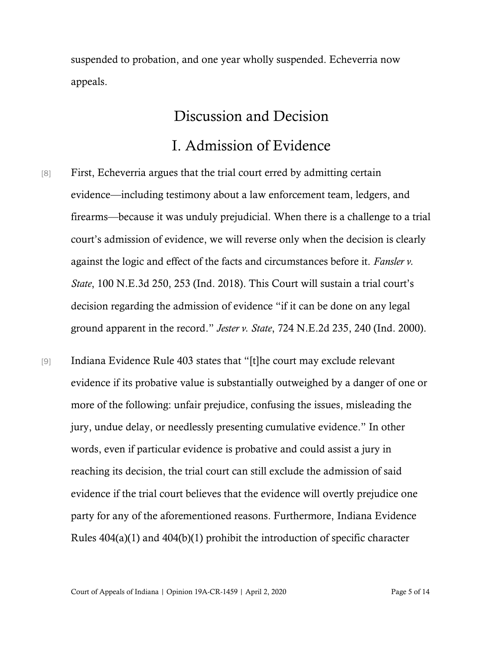suspended to probation, and one year wholly suspended. Echeverria now appeals.

### Discussion and Decision

# I. Admission of Evidence

- [8] First, Echeverria argues that the trial court erred by admitting certain evidence—including testimony about a law enforcement team, ledgers, and firearms—because it was unduly prejudicial. When there is a challenge to a trial court's admission of evidence, we will reverse only when the decision is clearly against the logic and effect of the facts and circumstances before it. *Fansler v. State*, 100 N.E.3d 250, 253 (Ind. 2018). This Court will sustain a trial court's decision regarding the admission of evidence "if it can be done on any legal ground apparent in the record." *Jester v. State*, 724 N.E.2d 235, 240 (Ind. 2000).
- [9] Indiana Evidence Rule 403 states that "[t]he court may exclude relevant evidence if its probative value is substantially outweighed by a danger of one or more of the following: unfair prejudice, confusing the issues, misleading the jury, undue delay, or needlessly presenting cumulative evidence." In other words, even if particular evidence is probative and could assist a jury in reaching its decision, the trial court can still exclude the admission of said evidence if the trial court believes that the evidence will overtly prejudice one party for any of the aforementioned reasons. Furthermore, Indiana Evidence Rules 404(a)(1) and 404(b)(1) prohibit the introduction of specific character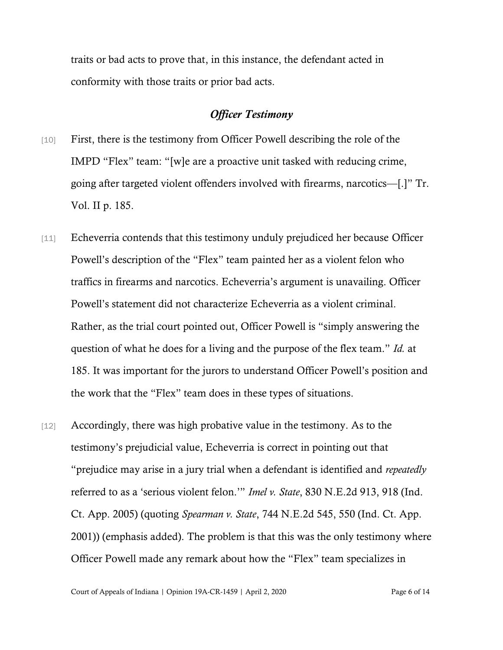traits or bad acts to prove that, in this instance, the defendant acted in conformity with those traits or prior bad acts.

### *Officer Testimony*

- [10] First, there is the testimony from Officer Powell describing the role of the IMPD "Flex" team: "[w]e are a proactive unit tasked with reducing crime, going after targeted violent offenders involved with firearms, narcotics—[.]" Tr. Vol. II p. 185.
- [11] Echeverria contends that this testimony unduly prejudiced her because Officer Powell's description of the "Flex" team painted her as a violent felon who traffics in firearms and narcotics. Echeverria's argument is unavailing. Officer Powell's statement did not characterize Echeverria as a violent criminal. Rather, as the trial court pointed out, Officer Powell is "simply answering the question of what he does for a living and the purpose of the flex team." *Id.* at 185. It was important for the jurors to understand Officer Powell's position and the work that the "Flex" team does in these types of situations.
- [12] Accordingly, there was high probative value in the testimony. As to the testimony's prejudicial value, Echeverria is correct in pointing out that "prejudice may arise in a jury trial when a defendant is identified and *repeatedly* referred to as a 'serious violent felon.'" *Imel v. State*, 830 N.E.2d 913, 918 (Ind. Ct. App. 2005) (quoting *Spearman v. State*, 744 N.E.2d 545, 550 (Ind. Ct. App. 2001)) (emphasis added). The problem is that this was the only testimony where Officer Powell made any remark about how the "Flex" team specializes in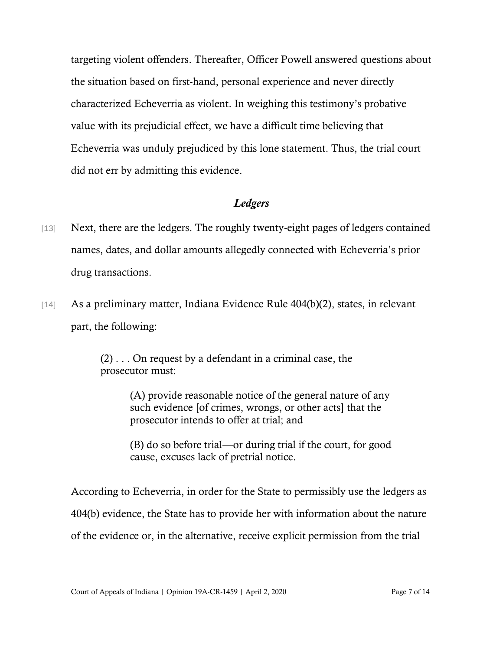targeting violent offenders. Thereafter, Officer Powell answered questions about the situation based on first-hand, personal experience and never directly characterized Echeverria as violent. In weighing this testimony's probative value with its prejudicial effect, we have a difficult time believing that Echeverria was unduly prejudiced by this lone statement. Thus, the trial court did not err by admitting this evidence.

### *Ledgers*

- [13] Next, there are the ledgers. The roughly twenty-eight pages of ledgers contained names, dates, and dollar amounts allegedly connected with Echeverria's prior drug transactions.
- [14] As a preliminary matter, Indiana Evidence Rule 404(b)(2), states, in relevant part, the following:

(2) . . . On request by a defendant in a criminal case, the prosecutor must:

> (A) provide reasonable notice of the general nature of any such evidence [of crimes, wrongs, or other acts] that the prosecutor intends to offer at trial; and

> (B) do so before trial—or during trial if the court, for good cause, excuses lack of pretrial notice.

According to Echeverria, in order for the State to permissibly use the ledgers as 404(b) evidence, the State has to provide her with information about the nature of the evidence or, in the alternative, receive explicit permission from the trial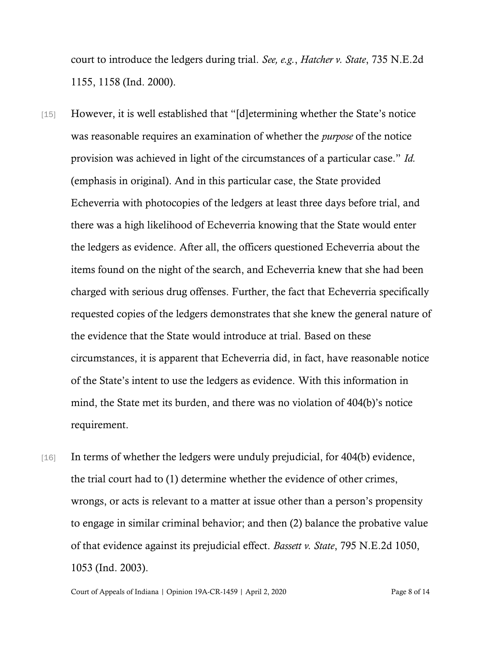court to introduce the ledgers during trial. *See, e.g.*, *Hatcher v. State*, 735 N.E.2d 1155, 1158 (Ind. 2000).

- [15] However, it is well established that "[d]etermining whether the State's notice was reasonable requires an examination of whether the *purpose* of the notice provision was achieved in light of the circumstances of a particular case." *Id.* (emphasis in original). And in this particular case, the State provided Echeverria with photocopies of the ledgers at least three days before trial, and there was a high likelihood of Echeverria knowing that the State would enter the ledgers as evidence. After all, the officers questioned Echeverria about the items found on the night of the search, and Echeverria knew that she had been charged with serious drug offenses. Further, the fact that Echeverria specifically requested copies of the ledgers demonstrates that she knew the general nature of the evidence that the State would introduce at trial. Based on these circumstances, it is apparent that Echeverria did, in fact, have reasonable notice of the State's intent to use the ledgers as evidence. With this information in mind, the State met its burden, and there was no violation of 404(b)'s notice requirement.
- [16] In terms of whether the ledgers were unduly prejudicial, for 404(b) evidence, the trial court had to (1) determine whether the evidence of other crimes, wrongs, or acts is relevant to a matter at issue other than a person's propensity to engage in similar criminal behavior; and then (2) balance the probative value of that evidence against its prejudicial effect. *Bassett v. State*, 795 N.E.2d 1050, 1053 (Ind. 2003).

Court of Appeals of Indiana | Opinion 19A-CR-1459 | April 2, 2020 Page 8 of 14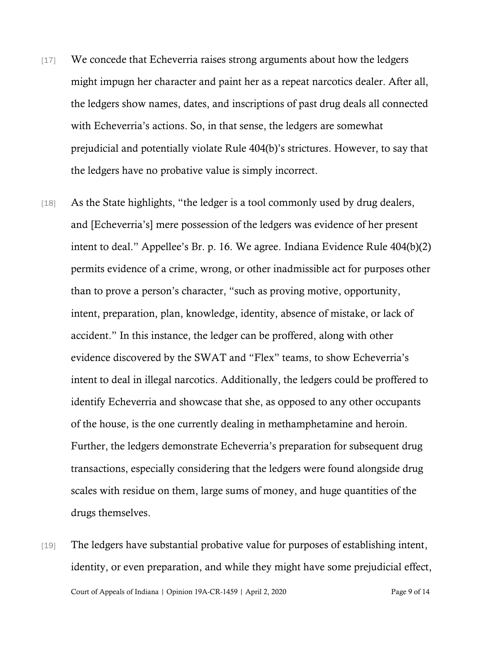- [17] We concede that Echeverria raises strong arguments about how the ledgers might impugn her character and paint her as a repeat narcotics dealer. After all, the ledgers show names, dates, and inscriptions of past drug deals all connected with Echeverria's actions. So, in that sense, the ledgers are somewhat prejudicial and potentially violate Rule 404(b)'s strictures. However, to say that the ledgers have no probative value is simply incorrect.
- [18] As the State highlights, "the ledger is a tool commonly used by drug dealers, and [Echeverria's] mere possession of the ledgers was evidence of her present intent to deal." Appellee's Br. p. 16. We agree. Indiana Evidence Rule 404(b)(2) permits evidence of a crime, wrong, or other inadmissible act for purposes other than to prove a person's character, "such as proving motive, opportunity, intent, preparation, plan, knowledge, identity, absence of mistake, or lack of accident." In this instance, the ledger can be proffered, along with other evidence discovered by the SWAT and "Flex" teams, to show Echeverria's intent to deal in illegal narcotics. Additionally, the ledgers could be proffered to identify Echeverria and showcase that she, as opposed to any other occupants of the house, is the one currently dealing in methamphetamine and heroin. Further, the ledgers demonstrate Echeverria's preparation for subsequent drug transactions, especially considering that the ledgers were found alongside drug scales with residue on them, large sums of money, and huge quantities of the drugs themselves.
- Court of Appeals of Indiana | Opinion 19A-CR-1459 | April 2, 2020 Page 9 of 14 [19] The ledgers have substantial probative value for purposes of establishing intent, identity, or even preparation, and while they might have some prejudicial effect,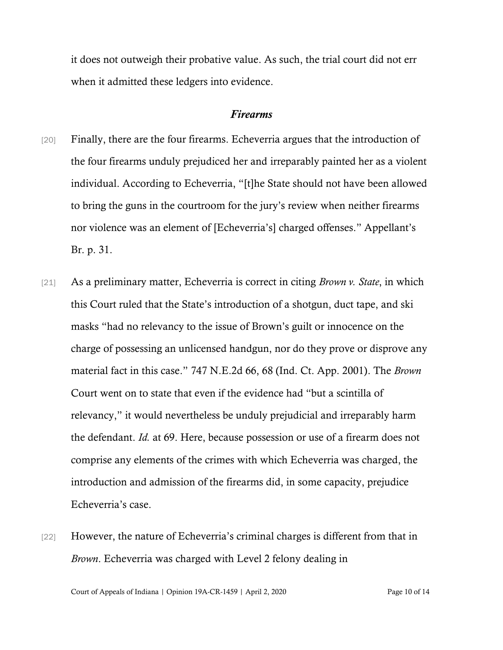it does not outweigh their probative value. As such, the trial court did not err when it admitted these ledgers into evidence.

#### *Firearms*

- [20] Finally, there are the four firearms. Echeverria argues that the introduction of the four firearms unduly prejudiced her and irreparably painted her as a violent individual. According to Echeverria, "[t]he State should not have been allowed to bring the guns in the courtroom for the jury's review when neither firearms nor violence was an element of [Echeverria's] charged offenses." Appellant's Br. p. 31.
- [21] As a preliminary matter, Echeverria is correct in citing *Brown v. State*, in which this Court ruled that the State's introduction of a shotgun, duct tape, and ski masks "had no relevancy to the issue of Brown's guilt or innocence on the charge of possessing an unlicensed handgun, nor do they prove or disprove any material fact in this case." 747 N.E.2d 66, 68 (Ind. Ct. App. 2001). The *Brown*  Court went on to state that even if the evidence had "but a scintilla of relevancy," it would nevertheless be unduly prejudicial and irreparably harm the defendant. *Id.* at 69. Here, because possession or use of a firearm does not comprise any elements of the crimes with which Echeverria was charged, the introduction and admission of the firearms did, in some capacity, prejudice Echeverria's case.
- [22] However, the nature of Echeverria's criminal charges is different from that in *Brown*. Echeverria was charged with Level 2 felony dealing in

Court of Appeals of Indiana | Opinion 19A-CR-1459 | April 2, 2020 Page 10 of 14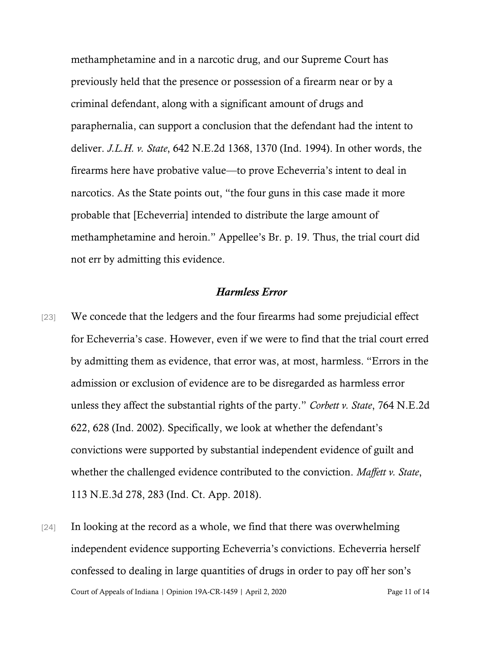methamphetamine and in a narcotic drug, and our Supreme Court has previously held that the presence or possession of a firearm near or by a criminal defendant, along with a significant amount of drugs and paraphernalia, can support a conclusion that the defendant had the intent to deliver. *J.L.H. v. State*, 642 N.E.2d 1368, 1370 (Ind. 1994). In other words, the firearms here have probative value—to prove Echeverria's intent to deal in narcotics. As the State points out, "the four guns in this case made it more probable that [Echeverria] intended to distribute the large amount of methamphetamine and heroin." Appellee's Br. p. 19. Thus, the trial court did not err by admitting this evidence.

### *Harmless Error*

- [23] We concede that the ledgers and the four firearms had some prejudicial effect for Echeverria's case. However, even if we were to find that the trial court erred by admitting them as evidence, that error was, at most, harmless. "Errors in the admission or exclusion of evidence are to be disregarded as harmless error unless they affect the substantial rights of the party." *Corbett v. State*, 764 N.E.2d 622, 628 (Ind. 2002). Specifically, we look at whether the defendant's convictions were supported by substantial independent evidence of guilt and whether the challenged evidence contributed to the conviction. *Maffett v. State*, 113 N.E.3d 278, 283 (Ind. Ct. App. 2018).
- Court of Appeals of Indiana | Opinion 19A-CR-1459 | April 2, 2020 Page 11 of 14 [24] In looking at the record as a whole, we find that there was overwhelming independent evidence supporting Echeverria's convictions. Echeverria herself confessed to dealing in large quantities of drugs in order to pay off her son's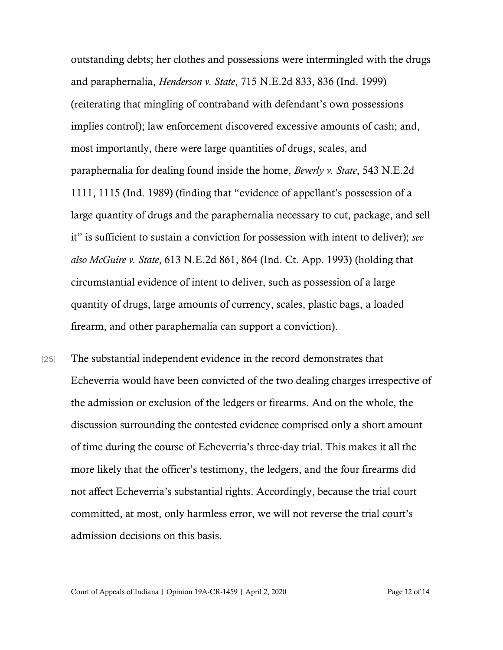outstanding debts; her clothes and possessions were intermingled with the drugs and paraphernalia, *Henderson v. State*, 715 N.E.2d 833, 836 (Ind. 1999) (reiterating that mingling of contraband with defendant's own possessions implies control); law enforcement discovered excessive amounts of cash; and, most importantly, there were large quantities of drugs, scales, and paraphernalia for dealing found inside the home, *Beverly v. State*, 543 N.E.2d 1111, 1115 (Ind. 1989) (finding that "evidence of appellant's possession of a large quantity of drugs and the paraphernalia necessary to cut, package, and sell it" is sufficient to sustain a conviction for possession with intent to deliver); *see also McGuire v. State*, 613 N.E.2d 861, 864 (Ind. Ct. App. 1993) (holding that circumstantial evidence of intent to deliver, such as possession of a large quantity of drugs, large amounts of currency, scales, plastic bags, a loaded firearm, and other paraphernalia can support a conviction).

[25] The substantial independent evidence in the record demonstrates that Echeverria would have been convicted of the two dealing charges irrespective of the admission or exclusion of the ledgers or firearms. And on the whole, the discussion surrounding the contested evidence comprised only a short amount of time during the course of Echeverria's three-day trial. This makes it all the more likely that the officer's testimony, the ledgers, and the four firearms did not affect Echeverria's substantial rights. Accordingly, because the trial court committed, at most, only harmless error, we will not reverse the trial court's admission decisions on this basis.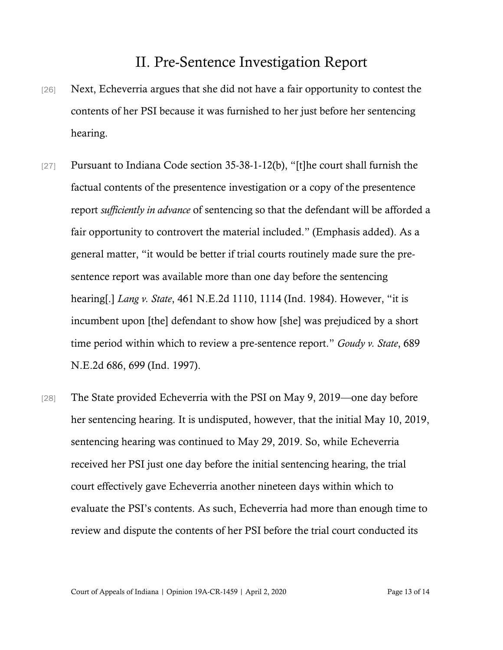# II. Pre-Sentence Investigation Report

- [26] Next, Echeverria argues that she did not have a fair opportunity to contest the contents of her PSI because it was furnished to her just before her sentencing hearing.
- [27] Pursuant to Indiana Code section 35-38-1-12(b), "[t]he court shall furnish the factual contents of the presentence investigation or a copy of the presentence report *sufficiently in advance* of sentencing so that the defendant will be afforded a fair opportunity to controvert the material included." (Emphasis added). As a general matter, "it would be better if trial courts routinely made sure the presentence report was available more than one day before the sentencing hearing[.] *Lang v. State*, 461 N.E.2d 1110, 1114 (Ind. 1984). However, "it is incumbent upon [the] defendant to show how [she] was prejudiced by a short time period within which to review a pre-sentence report." *Goudy v. State*, 689 N.E.2d 686, 699 (Ind. 1997).
- [28] The State provided Echeverria with the PSI on May 9, 2019—one day before her sentencing hearing. It is undisputed, however, that the initial May 10, 2019, sentencing hearing was continued to May 29, 2019. So, while Echeverria received her PSI just one day before the initial sentencing hearing, the trial court effectively gave Echeverria another nineteen days within which to evaluate the PSI's contents. As such, Echeverria had more than enough time to review and dispute the contents of her PSI before the trial court conducted its